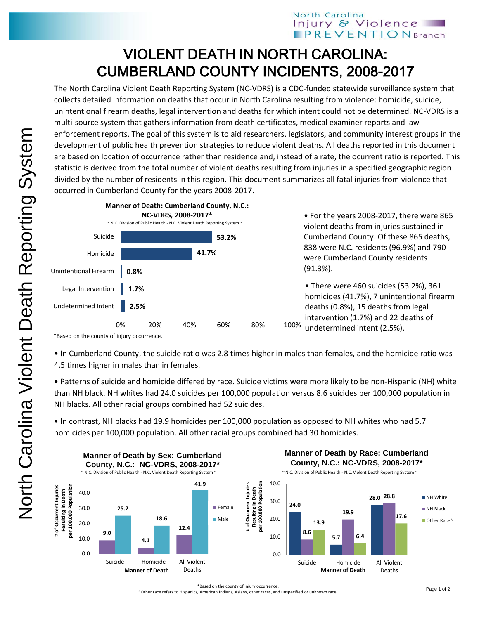## North Carolina Injury & Violence **PREVENTIONBranch**

## VIOLENT DEATH IN NORTH CAROLINA: CUMBERLAND COUNTY INCIDENTS, 2008-2017

The North Carolina Violent Death Reporting System (NC-VDRS) is a CDC-funded statewide surveillance system that collects detailed information on deaths that occur in North Carolina resulting from violence: homicide, suicide, unintentional firearm deaths, legal intervention and deaths for which intent could not be determined. NC-VDRS is a multi-source system that gathers information from death certificates, medical examiner reports and law enforcement reports. The goal of this system is to aid researchers, legislators, and community interest groups in the development of public health prevention strategies to reduce violent deaths. All deaths reported in this document are based on location of occurrence rather than residence and, instead of a rate, the ocurrent ratio is reported. This statistic is derived from the total number of violent deaths resulting from injuries in a specified geographic region divided by the number of residents in this region. This document summarizes all fatal injuries from violence that occurred in Cumberland County for the years 2008-2017.



• For the years 2008-2017, there were 865 violent deaths from injuries sustained in Cumberland County. Of these 865 deaths, 838 were N.C. residents (96.9%) and 790 were Cumberland County residents (91.3%).

• There were 460 suicides (53.2%), 361 homicides (41.7%), 7 unintentional firearm deaths (0.8%), 15 deaths from legal intervention (1.7%) and 22 deaths of undetermined intent (2.5%).

\*Based on the county of injury occurrence.

• In Cumberland County, the suicide ratio was 2.8 times higher in males than females, and the homicide ratio was 4.5 times higher in males than in females.

• Patterns of suicide and homicide differed by race. Suicide victims were more likely to be non-Hispanic (NH) white than NH black. NH whites had 24.0 suicides per 100,000 population versus 8.6 suicides per 100,000 population in NH blacks. All other racial groups combined had 52 suicides.

• In contrast, NH blacks had 19.9 homicides per 100,000 population as opposed to NH whites who had 5.7 homicides per 100,000 population. All other racial groups combined had 30 homicides.



\*Based on the county of injury occurrence.

^Other race refers to Hispanics, American Indians, Asians, other races, and unspecified or unknown race.